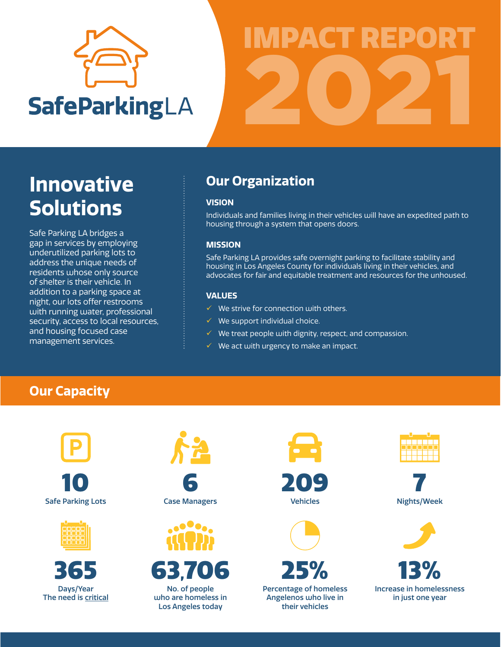

# IMPACT REPORT 2021

## **Our Organization Innovative Solutions**

Safe Parking LA bridges a gap in services by employing underutilized parking lots to address the unique needs of residents whose only source of shelter is their vehicle. In addition to a parking space at night, our lots offer restrooms with running water, professional security, access to local resources, and housing focused case management services.

### **VISION**

Individuals and families living in their vehicles will have an expedited path to housing through a system that opens doors.

### **MISSION**

Safe Parking LA provides safe overnight parking to facilitate stability and housing in Los Angeles County for individuals living in their vehicles, and advocates for fair and equitable treatment and resources for the unhoused.

### **VALUES**

- $\checkmark$  We strive for connection with others.
- $\checkmark$  We support individual choice.
- $\checkmark$  We treat people with dignity, respect, and compassion.
- $\checkmark$  We act with urgency to make an impact.

## **Our Capacity**



10 Safe Parking Lots







6 Case Managers



63,706

No. of people who are homeless in Los Angeles today



Vehicles



25%

Percentage of homeless Angelenos who live in their vehicles



7 Nights/Week



13% Increase in homelessness in just one year